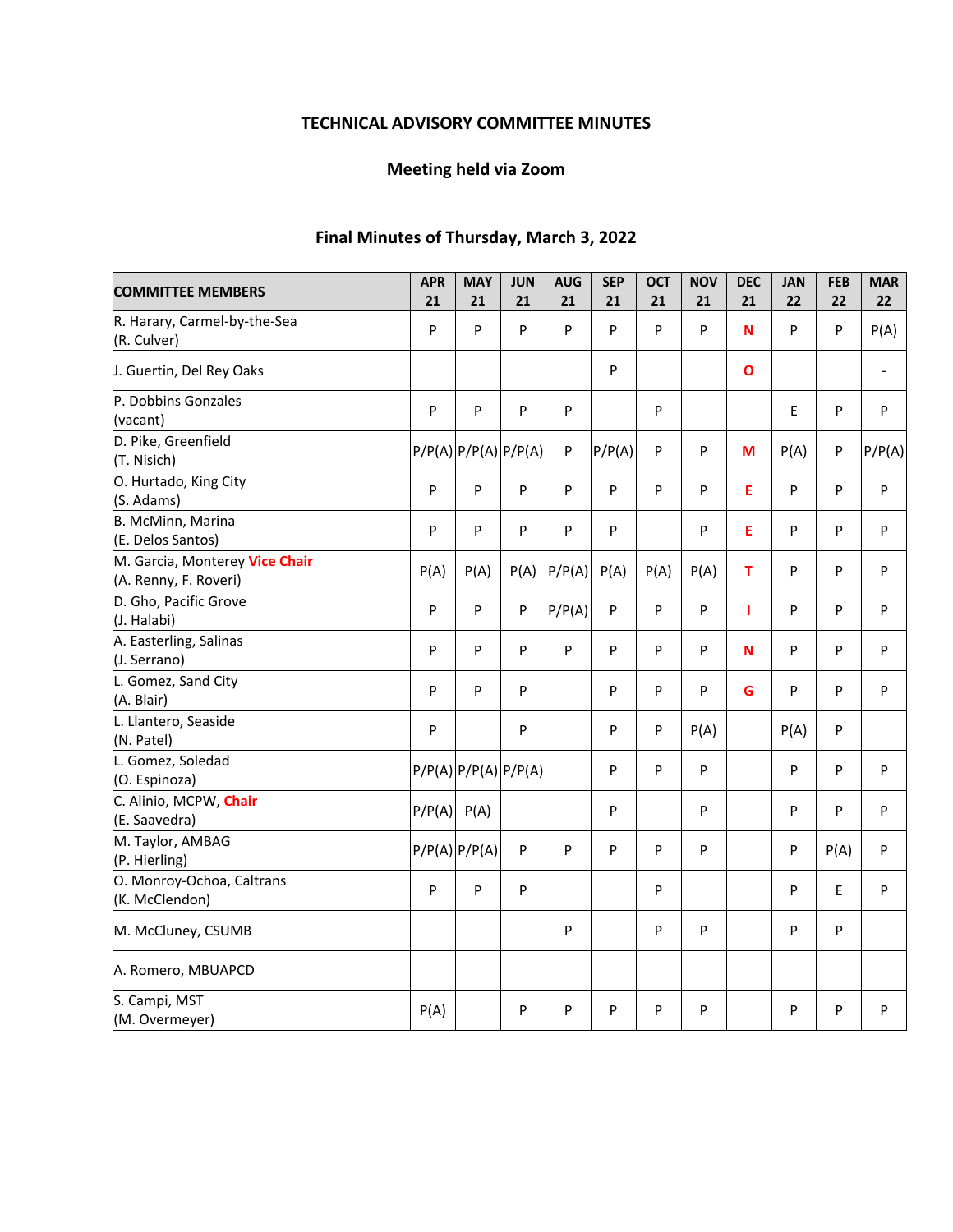# **TECHNICAL ADVISORY COMMITTEE MINUTES**

# **Meeting held via Zoom**

# **Final Minutes of Thursday, March 3, 2022**

| <b>COMMITTEE MEMBERS</b>                                | <b>APR</b><br>21 | <b>MAY</b><br>21           | <b>JUN</b><br>21 | <b>AUG</b><br>21 | <b>SEP</b><br>21 | <b>OCT</b><br>21 | <b>NOV</b><br>21 | <b>DEC</b><br>21 | <b>JAN</b><br>22 | <b>FEB</b><br>22 | <b>MAR</b><br>22 |
|---------------------------------------------------------|------------------|----------------------------|------------------|------------------|------------------|------------------|------------------|------------------|------------------|------------------|------------------|
| R. Harary, Carmel-by-the-Sea<br>(R. Culver)             | P                | P                          | P                | P                | P                | P                | P                | N                | P                | P                | P(A)             |
| J. Guertin, Del Rey Oaks                                |                  |                            |                  |                  | ${\sf P}$        |                  |                  | $\mathbf{o}$     |                  |                  | $\blacksquare$   |
| P. Dobbins Gonzales<br>(vacant)                         | P                | P                          | P                | $\mathsf{P}$     |                  | P                |                  |                  | E                | P                | $\sf P$          |
| D. Pike, Greenfield<br>(T. Nisich)                      |                  | $P/P(A)$ $P/P(A)$ $P/P(A)$ |                  | P                | P/P(A)           | P                | P                | М                | P(A)             | P                | P/P(A)           |
| O. Hurtado, King City<br>(S. Adams)                     | P                | P                          | P                | P                | P                | P                | P                | E                | P                | P                | P                |
| B. McMinn, Marina<br>(E. Delos Santos)                  | P                | P                          | P                | P                | P                |                  | P                | E                | P                | P                | P                |
| M. Garcia, Monterey Vice Chair<br>(A. Renny, F. Roveri) | P(A)             | P(A)                       | P(A)             | P/P(A)           | P(A)             | P(A)             | P(A)             | т                | P                | P                | P                |
| D. Gho, Pacific Grove<br>(J. Halabi)                    | P                | P                          | P                | P/P(A)           | P                | P                | P                | т                | P                | P                | P                |
| A. Easterling, Salinas<br>(J. Serrano)                  | P                | P                          | P                | P                | P                | P                | P                | N                | P                | P                | P                |
| L. Gomez, Sand City<br>(A. Blair)                       | P                | P                          | P                |                  | P                | P                | P                | G                | P                | P                | P                |
| L. Llantero, Seaside<br>(N. Patel)                      | P                |                            | P                |                  | P                | P                | P(A)             |                  | P(A)             | P                |                  |
| L. Gomez, Soledad<br>(O. Espinoza)                      |                  | $P/P(A)$ $P/P(A)$ $P/P(A)$ |                  |                  | P                | P                | P                |                  | P                | P                | P                |
| C. Alinio, MCPW, Chair<br>(E. Saavedra)                 | P/P(A)           | P(A)                       |                  |                  | P                |                  | P                |                  | P                | P                | P                |
| M. Taylor, AMBAG<br>(P. Hierling)                       |                  | $P/P(A)$ $P/P(A)$          | P                | P                | P                | P                | P                |                  | P                | P(A)             | P                |
| O. Monroy-Ochoa, Caltrans<br>(K. McClendon)             | P                | P                          | P                |                  |                  | ${\sf P}$        |                  |                  | P                | E                | P                |
| M. McCluney, CSUMB                                      |                  |                            |                  | $\sf P$          |                  | P                | P                |                  | P                | P                |                  |
| A. Romero, MBUAPCD                                      |                  |                            |                  |                  |                  |                  |                  |                  |                  |                  |                  |
| S. Campi, MST<br>(M. Overmeyer)                         | P(A)             |                            | P                | P                | P                | P                | P                |                  | P                | P                | P                |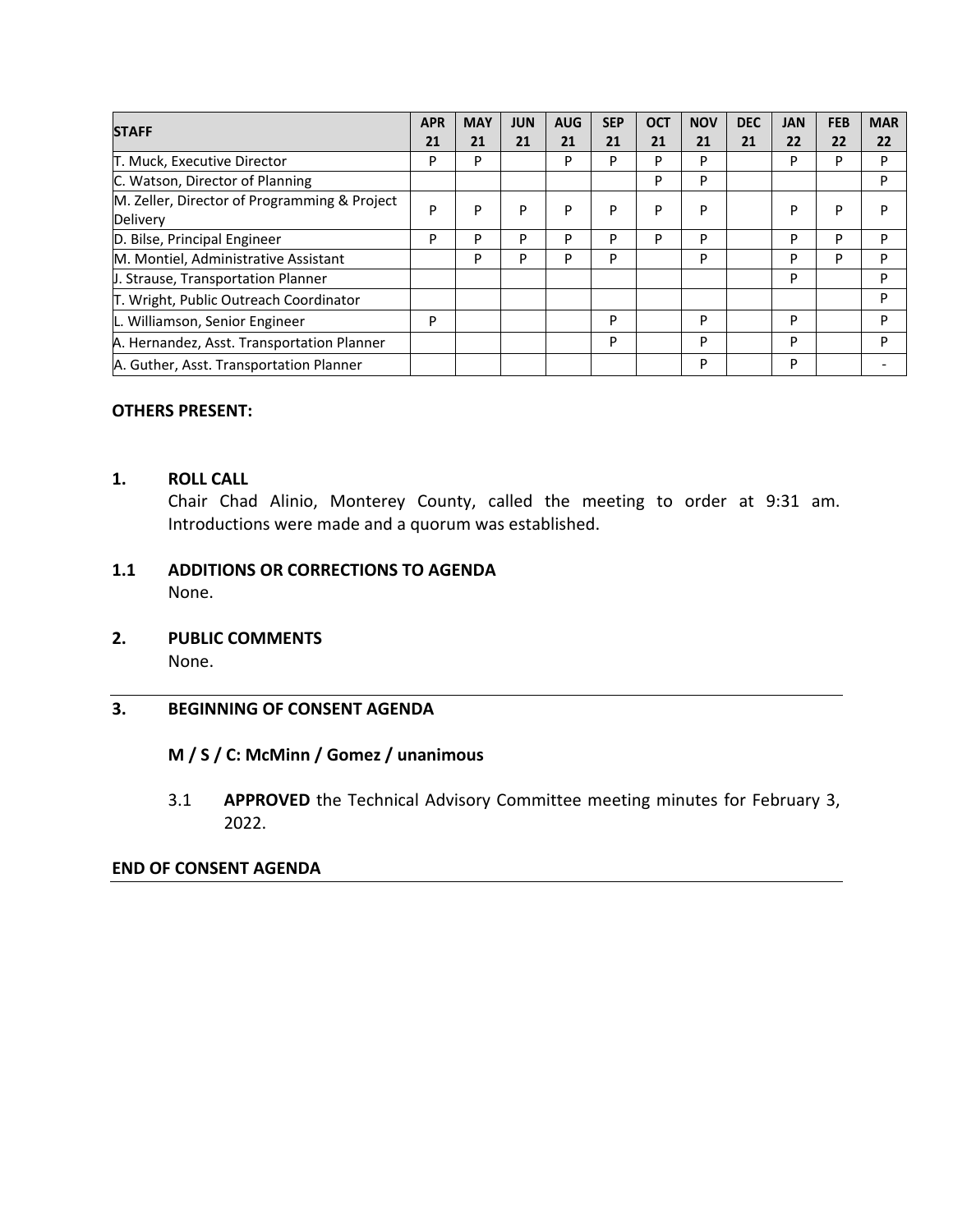| <b>STAFF</b>                                 | <b>APR</b> | <b>MAY</b> | <b>JUN</b> | <b>AUG</b> | <b>SEP</b> | <b>OCT</b> | <b>NOV</b> | <b>DEC</b> | <b>JAN</b> | <b>FEB</b> | <b>MAR</b> |
|----------------------------------------------|------------|------------|------------|------------|------------|------------|------------|------------|------------|------------|------------|
|                                              | 21         | 21         | 21         | 21         | 21         | 21         | 21         | 21         | 22         | 22         | 22         |
| T. Muck, Executive Director                  | P          | P          |            | P          | P          | P          | P          |            | P          | P          | P          |
| C. Watson, Director of Planning              |            |            |            |            |            | P          | P          |            |            |            | P          |
| M. Zeller, Director of Programming & Project | P          | P          | P          | P          | P          | P          | P          |            | P          | P          | P          |
| Delivery                                     |            |            |            |            |            |            |            |            |            |            |            |
| D. Bilse, Principal Engineer                 | P          | P          | P          | P          | P          | P          | P          |            | P          | P          | P          |
| M. Montiel, Administrative Assistant         |            | P          | P          | P          | P          |            | P          |            | P          | P          | P          |
| <b>J. Strause, Transportation Planner</b>    |            |            |            |            |            |            |            |            | P          |            | P          |
| T. Wright, Public Outreach Coordinator       |            |            |            |            |            |            |            |            |            |            | P          |
| L. Williamson, Senior Engineer               | P          |            |            |            | P          |            | P          |            | P          |            | P          |
| A. Hernandez, Asst. Transportation Planner   |            |            |            |            | P          |            | P          |            | P          |            | P          |
| A. Guther, Asst. Transportation Planner      |            |            |            |            |            |            | P          |            | P          |            |            |

## **OTHERS PRESENT:**

#### **1. ROLL CALL**

Chair Chad Alinio, Monterey County, called the meeting to order at 9:31 am. Introductions were made and a quorum was established.

## **1.1 ADDITIONS OR CORRECTIONS TO AGENDA**  None.

**2. PUBLIC COMMENTS** 

None.

#### **3. BEGINNING OF CONSENT AGENDA**

#### **M / S / C: McMinn / Gomez / unanimous**

3.1 **APPROVED** the Technical Advisory Committee meeting minutes for February 3, 2022.

#### **END OF CONSENT AGENDA**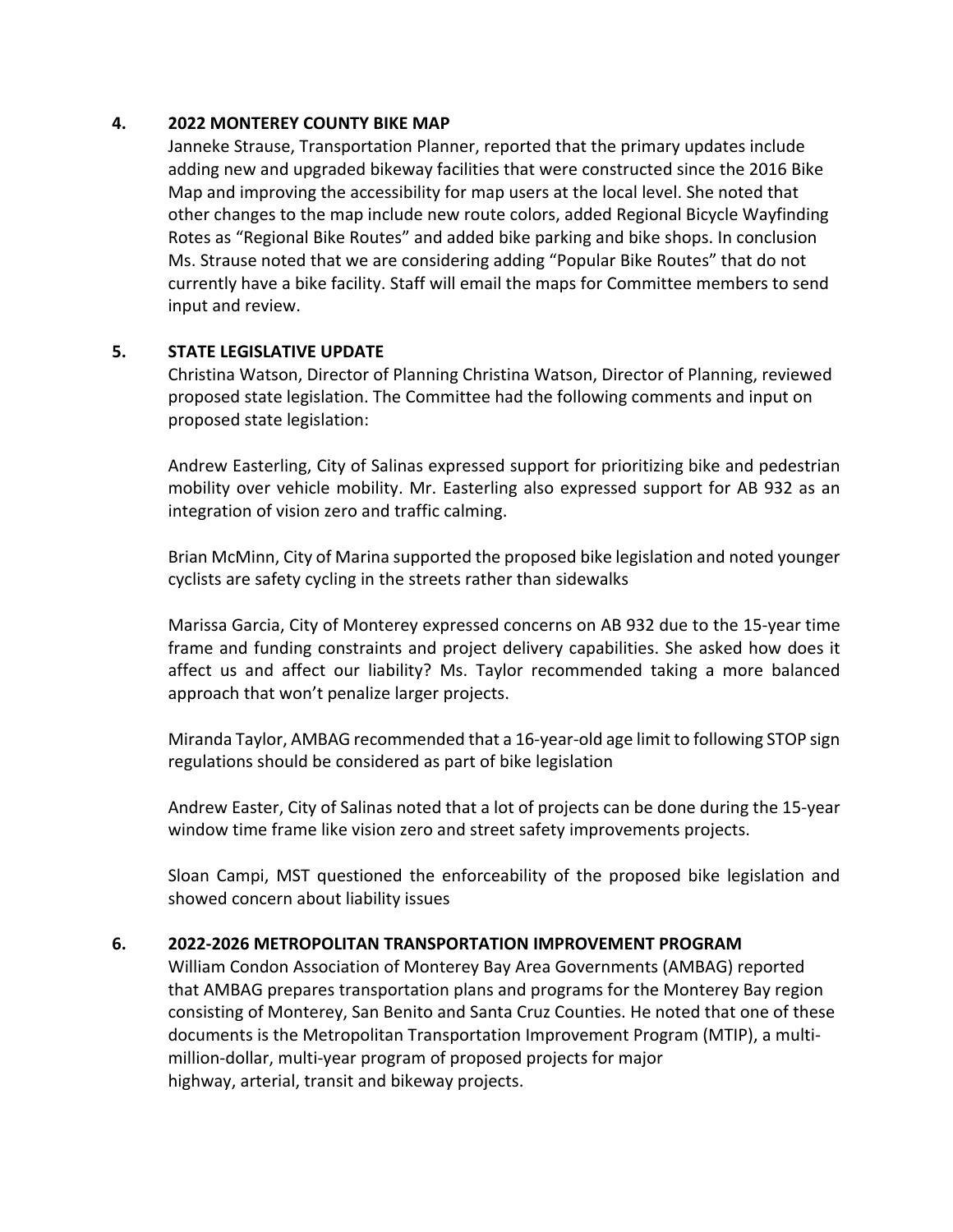## **4. 2022 MONTEREY COUNTY BIKE MAP**

Janneke Strause, Transportation Planner, reported that the primary updates include adding new and upgraded bikeway facilities that were constructed since the 2016 Bike Map and improving the accessibility for map users at the local level. She noted that other changes to the map include new route colors, added Regional Bicycle Wayfinding Rotes as "Regional Bike Routes" and added bike parking and bike shops. In conclusion Ms. Strause noted that we are considering adding "Popular Bike Routes" that do not currently have a bike facility. Staff will email the maps for Committee members to send input and review.

## **5. STATE LEGISLATIVE UPDATE**

Christina Watson, Director of Planning Christina Watson, Director of Planning, reviewed proposed state legislation. The Committee had the following comments and input on proposed state legislation:

Andrew Easterling, City of Salinas expressed support for prioritizing bike and pedestrian mobility over vehicle mobility. Mr. Easterling also expressed support for AB 932 as an integration of vision zero and traffic calming.

Brian McMinn, City of Marina supported the proposed bike legislation and noted younger cyclists are safety cycling in the streets rather than sidewalks

Marissa Garcia, City of Monterey expressed concerns on AB 932 due to the 15‐year time frame and funding constraints and project delivery capabilities. She asked how does it affect us and affect our liability? Ms. Taylor recommended taking a more balanced approach that won't penalize larger projects.

Miranda Taylor, AMBAG recommended that a 16‐year‐old age limit to following STOP sign regulations should be considered as part of bike legislation

Andrew Easter, City of Salinas noted that a lot of projects can be done during the 15‐year window time frame like vision zero and street safety improvements projects.

Sloan Campi, MST questioned the enforceability of the proposed bike legislation and showed concern about liability issues

## **6. 2022‐2026 METROPOLITAN TRANSPORTATION IMPROVEMENT PROGRAM**

William Condon Association of Monterey Bay Area Governments (AMBAG) reported that AMBAG prepares transportation plans and programs for the Monterey Bay region consisting of Monterey, San Benito and Santa Cruz Counties. He noted that one of these documents is the Metropolitan Transportation Improvement Program (MTIP), a multi‐ million‐dollar, multi‐year program of proposed projects for major highway, arterial, transit and bikeway projects.